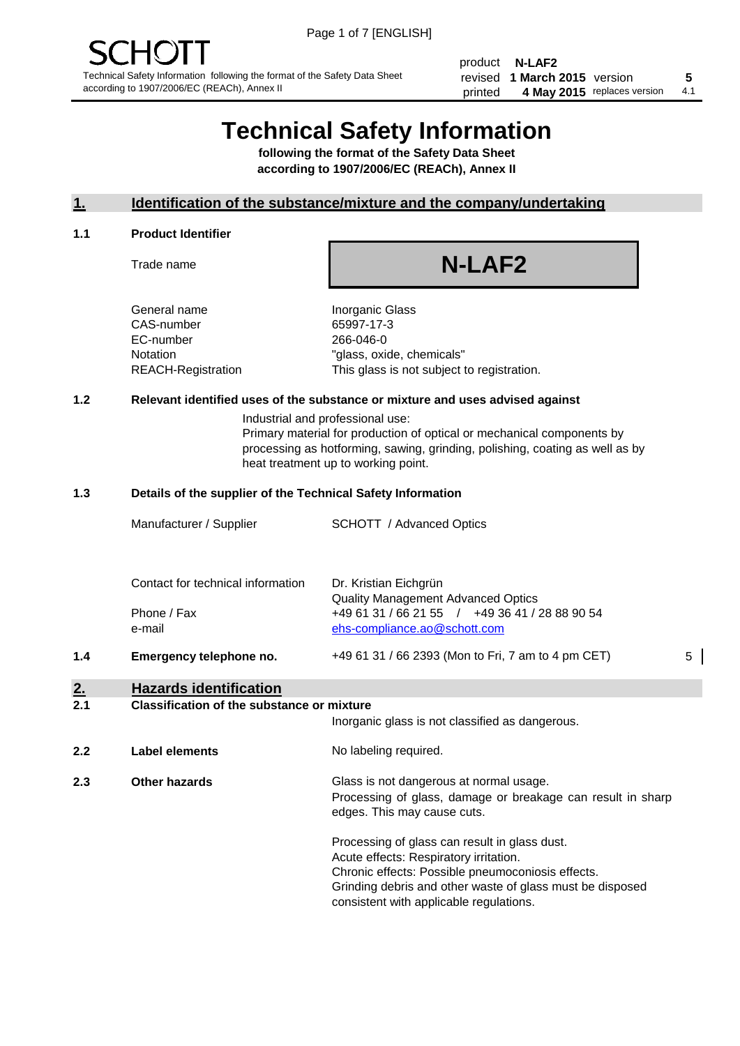product **N-LAF2** revised **5 1 March 2015** version printed 4 May 2015 replaces version 4.1

## **Technical Safety Information**

**following the format of the Safety Data Sheet according to 1907/2006/EC (REACh), Annex II**

#### **1. Identification of the substance/mixture and the company/undertaking**

#### **1.1 Product Identifier**

Trade name

# **N-LAF2**

General name **Inorganic Glass** CAS-number 65997-17-3 EC-number 266-046-0

Notation "glass, oxide, chemicals" REACH-Registration This glass is not subject to registration.

#### **1.2 Relevant identified uses of the substance or mixture and uses advised against**

Industrial and professional use: Primary material for production of optical or mechanical components by processing as hotforming, sawing, grinding, polishing, coating as well as by heat treatment up to working point.

#### **1.3 Details of the supplier of the Technical Safety Information**

|     | Manufacturer / Supplier                                    | <b>SCHOTT</b> / Advanced Optics                                                                                                                      |   |
|-----|------------------------------------------------------------|------------------------------------------------------------------------------------------------------------------------------------------------------|---|
|     | Contact for technical information<br>Phone / Fax<br>e-mail | Dr. Kristian Eichgrün<br><b>Quality Management Advanced Optics</b><br>+49 61 31 / 66 21 55 / +49 36 41 / 28 88 90 54<br>ehs-compliance.ao@schott.com |   |
| 1.4 | Emergency telephone no.                                    | +49 61 31 / 66 2393 (Mon to Fri, 7 am to 4 pm CET)                                                                                                   | 5 |
| 2.  | <b>Hazards identification</b>                              |                                                                                                                                                      |   |

#### **2.1 Classification of the substance or mixture**

| <u>.</u> | oldssingaugh of the substance of mature | Inorganic glass is not classified as dangerous.                                                                                                                                                                                                      |
|----------|-----------------------------------------|------------------------------------------------------------------------------------------------------------------------------------------------------------------------------------------------------------------------------------------------------|
| 2.2      | Label elements                          | No labeling required.                                                                                                                                                                                                                                |
| 2.3      | <b>Other hazards</b>                    | Glass is not dangerous at normal usage.<br>Processing of glass, damage or breakage can result in sharp<br>edges. This may cause cuts.                                                                                                                |
|          |                                         | Processing of glass can result in glass dust.<br>Acute effects: Respiratory irritation.<br>Chronic effects: Possible pneumoconiosis effects.<br>Grinding debris and other waste of glass must be disposed<br>consistent with applicable regulations. |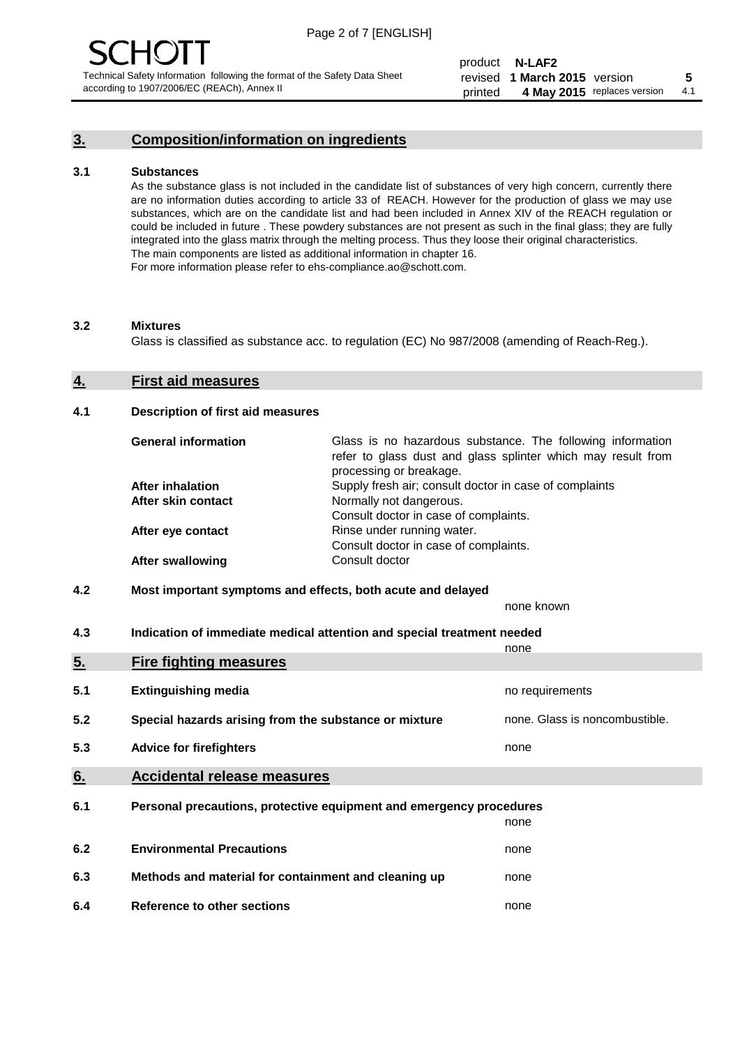### **3. Composition/information on ingredients**

#### **3.1 Substances**

As the substance glass is not included in the candidate list of substances of very high concern, currently there are no information duties according to article 33 of REACH. However for the production of glass we may use substances, which are on the candidate list and had been included in Annex XIV of the REACH regulation or could be included in future . These powdery substances are not present as such in the final glass; they are fully integrated into the glass matrix through the melting process. Thus they loose their original characteristics. The main components are listed as additional information in chapter 16. For more information please refer to ehs-compliance.ao@schott.com.

#### **3.2 Mixtures**

Glass is classified as substance acc. to regulation (EC) No 987/2008 (amending of Reach-Reg.).

#### **4. First aid measures**

#### **4.1 Description of first aid measures**

| <b>General information</b> | Glass is no hazardous substance. The following information<br>refer to glass dust and glass splinter which may result from<br>processing or breakage. |
|----------------------------|-------------------------------------------------------------------------------------------------------------------------------------------------------|
| <b>After inhalation</b>    | Supply fresh air; consult doctor in case of complaints                                                                                                |
| After skin contact         | Normally not dangerous.                                                                                                                               |
|                            | Consult doctor in case of complaints.                                                                                                                 |
| After eye contact          | Rinse under running water.                                                                                                                            |
|                            | Consult doctor in case of complaints.                                                                                                                 |
| <b>After swallowing</b>    | Consult doctor                                                                                                                                        |

#### **4.2 Most important symptoms and effects, both acute and delayed**

none known

**4.3 Indication of immediate medical attention and special treatment needed** 

|     |                                                                     | none                           |
|-----|---------------------------------------------------------------------|--------------------------------|
| 5.  | <b>Fire fighting measures</b>                                       |                                |
| 5.1 | <b>Extinguishing media</b>                                          | no requirements                |
| 5.2 | Special hazards arising from the substance or mixture               | none. Glass is noncombustible. |
| 5.3 | <b>Advice for firefighters</b>                                      | none                           |
| 6.  | <b>Accidental release measures</b>                                  |                                |
| 6.1 | Personal precautions, protective equipment and emergency procedures |                                |
|     |                                                                     | none                           |
| 6.2 | <b>Environmental Precautions</b>                                    | none                           |
| 6.3 | Methods and material for containment and cleaning up                | none                           |
| 6.4 | Reference to other sections                                         | none                           |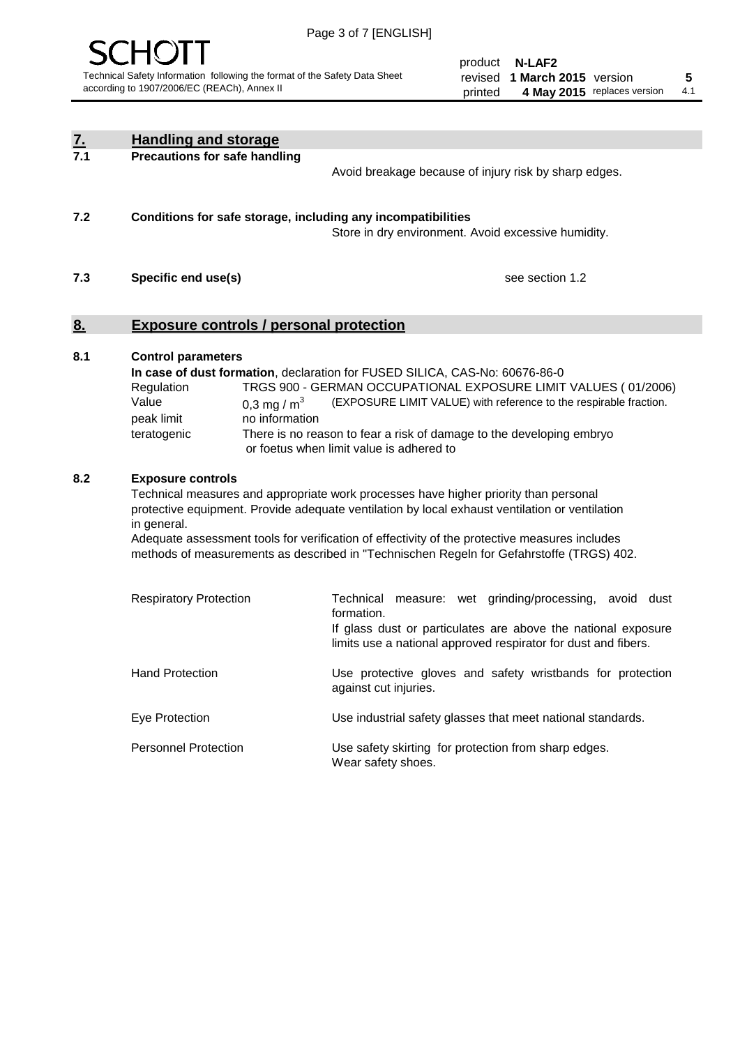

product **N-LAF2** revised **5 1 March 2015** version printed 4 May 2015 replaces version 4.1

| <u>7.</u><br>7.1 | <b>Handling and storage</b>                                                                                       |                                                                                                                                                                                                                                                                                                                                                                                     |
|------------------|-------------------------------------------------------------------------------------------------------------------|-------------------------------------------------------------------------------------------------------------------------------------------------------------------------------------------------------------------------------------------------------------------------------------------------------------------------------------------------------------------------------------|
|                  | <b>Precautions for safe handling</b>                                                                              | Avoid breakage because of injury risk by sharp edges.                                                                                                                                                                                                                                                                                                                               |
| 7.2              | Conditions for safe storage, including any incompatibilities                                                      | Store in dry environment. Avoid excessive humidity.                                                                                                                                                                                                                                                                                                                                 |
| 7.3              | Specific end use(s)                                                                                               | see section 1.2                                                                                                                                                                                                                                                                                                                                                                     |
| <u>8.</u>        | <b>Exposure controls / personal protection</b>                                                                    |                                                                                                                                                                                                                                                                                                                                                                                     |
| 8.1              | <b>Control parameters</b><br>Regulation<br>Value<br>0.3 mg / $m^3$<br>peak limit<br>no information<br>teratogenic | In case of dust formation, declaration for FUSED SILICA, CAS-No: 60676-86-0<br>TRGS 900 - GERMAN OCCUPATIONAL EXPOSURE LIMIT VALUES (01/2006)<br>(EXPOSURE LIMIT VALUE) with reference to the respirable fraction.<br>There is no reason to fear a risk of damage to the developing embryo<br>or foetus when limit value is adhered to                                              |
| 8.2              | <b>Exposure controls</b><br>in general.                                                                           | Technical measures and appropriate work processes have higher priority than personal<br>protective equipment. Provide adequate ventilation by local exhaust ventilation or ventilation<br>Adequate assessment tools for verification of effectivity of the protective measures includes<br>methods of measurements as described in "Technischen Regeln for Gefahrstoffe (TRGS) 402. |
|                  | <b>Respiratory Protection</b>                                                                                     | Technical<br>measure: wet grinding/processing, avoid dust<br>formation.<br>If glass dust or particulates are above the national exposure<br>limits use a national approved respirator for dust and fibers.                                                                                                                                                                          |
|                  | <b>Hand Protection</b>                                                                                            | Use protective gloves and safety wristbands for protection<br>against cut injuries.                                                                                                                                                                                                                                                                                                 |
|                  | Eye Protection                                                                                                    | Use industrial safety glasses that meet national standards.                                                                                                                                                                                                                                                                                                                         |
|                  | <b>Personnel Protection</b>                                                                                       | Use safety skirting for protection from sharp edges.<br>Wear safety shoes.                                                                                                                                                                                                                                                                                                          |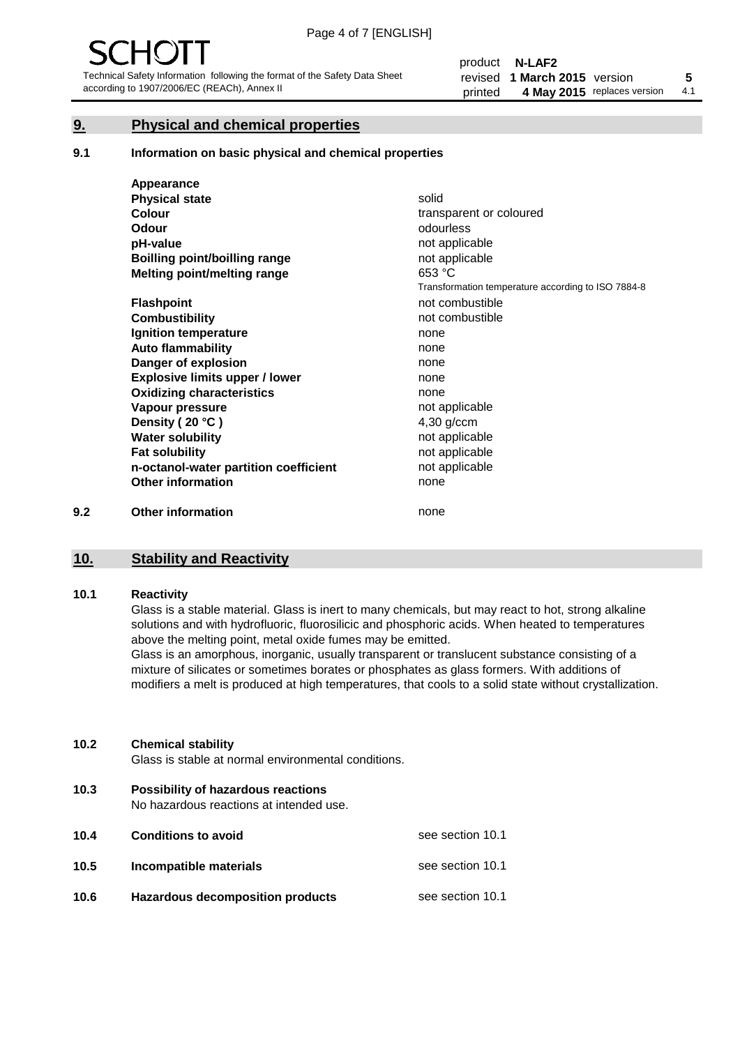#### **9. Physical and chemical properties**

#### **9.1 Information on basic physical and chemical properties**

|     | Appearance                            |                                                    |
|-----|---------------------------------------|----------------------------------------------------|
|     | <b>Physical state</b>                 | solid                                              |
|     | <b>Colour</b>                         | transparent or coloured                            |
|     | <b>Odour</b>                          | odourless                                          |
|     | pH-value                              | not applicable                                     |
|     | Boilling point/boilling range         | not applicable                                     |
|     | Melting point/melting range           | 653 °C                                             |
|     |                                       | Transformation temperature according to ISO 7884-8 |
|     | <b>Flashpoint</b>                     | not combustible                                    |
|     | <b>Combustibility</b>                 | not combustible                                    |
|     | Ignition temperature                  | none                                               |
|     | <b>Auto flammability</b>              | none                                               |
|     | Danger of explosion                   | none                                               |
|     | <b>Explosive limits upper / lower</b> | none                                               |
|     | <b>Oxidizing characteristics</b>      | none                                               |
|     | Vapour pressure                       | not applicable                                     |
|     | Density (20 °C)                       | $4,30$ g/ccm                                       |
|     | <b>Water solubility</b>               | not applicable                                     |
|     | <b>Fat solubility</b>                 | not applicable                                     |
|     | n-octanol-water partition coefficient | not applicable                                     |
|     | <b>Other information</b>              | none                                               |
| 9.2 | <b>Other information</b>              | none                                               |

## **10. Stability and Reactivity**

#### **10.1 Reactivity**

Glass is a stable material. Glass is inert to many chemicals, but may react to hot, strong alkaline solutions and with hydrofluoric, fluorosilicic and phosphoric acids. When heated to temperatures above the melting point, metal oxide fumes may be emitted.

Glass is an amorphous, inorganic, usually transparent or translucent substance consisting of a mixture of silicates or sometimes borates or phosphates as glass formers. With additions of modifiers a melt is produced at high temperatures, that cools to a solid state without crystallization.

#### **10.2 Chemical stability**

Glass is stable at normal environmental conditions.

**10.3 Possibility of hazardous reactions** 

No hazardous reactions at intended use.

| 10.4 | <b>Conditions to avoid</b>       | see section 10.1 |
|------|----------------------------------|------------------|
| 10.5 | Incompatible materials           | see section 10.1 |
| 10.6 | Hazardous decomposition products | see section 10.1 |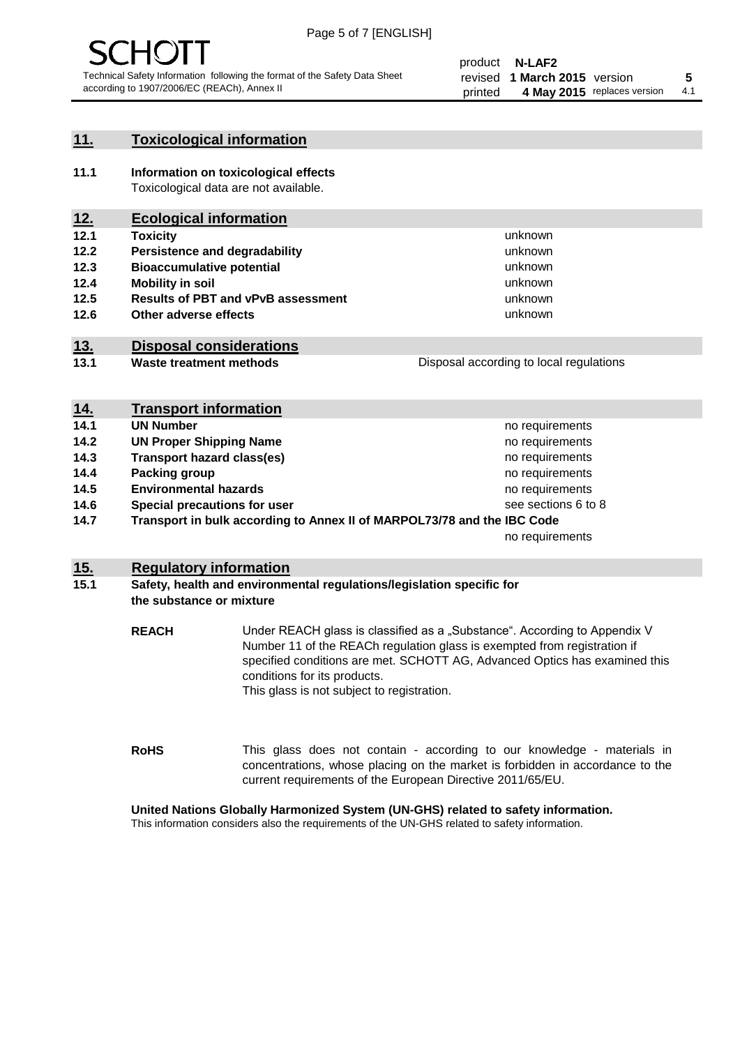

#### **11. Toxicological information**

**11.1 Information on toxicological effects** Toxicological data are not available.

### **12. Ecological information**

- **12.1 Toxicity**
- **12.2 Persistence and degradability**
- **12.3 Bioaccumulative potential**
- **12.4 Mobility in soil**
- **12.5 Results of PBT and vPvB assessment**
- **12.6 Other adverse effects**

#### **13. Disposal considerations**

**13.1 Waste treatment methods**

| Disposal according to local regulations |
|-----------------------------------------|
|                                         |

unknown unknown unknown unknown

unknown unknown

| <u>14.</u> | <b>Transport information</b>                                            |                     |
|------------|-------------------------------------------------------------------------|---------------------|
| 14.1       | <b>UN Number</b>                                                        | no requirements     |
| 14.2       | <b>UN Proper Shipping Name</b>                                          | no requirements     |
| 14.3       | <b>Transport hazard class(es)</b>                                       | no requirements     |
| 14.4       | Packing group                                                           | no requirements     |
| 14.5       | <b>Environmental hazards</b>                                            | no requirements     |
| 14.6       | Special precautions for user                                            | see sections 6 to 8 |
| 14.7       | Transport in bulk according to Annex II of MARPOL73/78 and the IBC Code |                     |
|            |                                                                         | no requirements     |

#### **15. Regulatory information**

#### **15.1 Safety, health and environmental regulations/legislation specific for the substance or mixture**

**REACH** Under REACH glass is classified as a "Substance". According to Appendix V Number 11 of the REACh regulation glass is exempted from registration if specified conditions are met. SCHOTT AG, Advanced Optics has examined this conditions for its products. This glass is not subject to registration.

**RoHS** This glass does not contain - according to our knowledge - materials in concentrations, whose placing on the market is forbidden in accordance to the current requirements of the European Directive 2011/65/EU.

#### **United Nations Globally Harmonized System (UN-GHS) related to safety information.**

This information considers also the requirements of the UN-GHS related to safety information.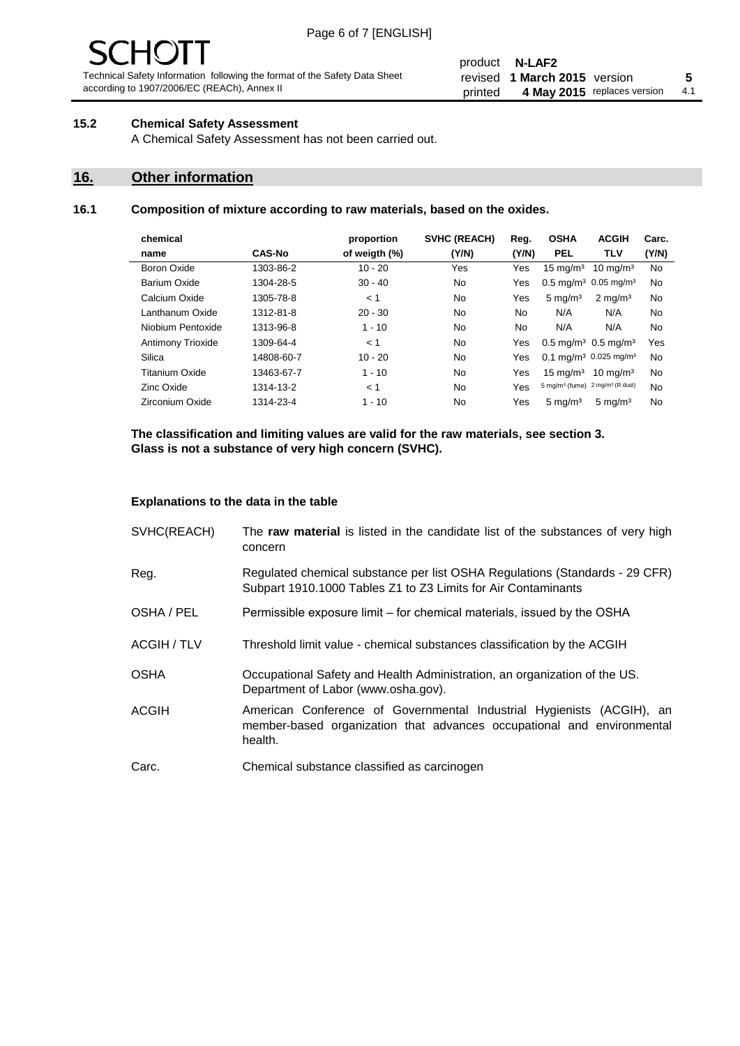# 10 J

Technical Safety Information following the format of the Safety Data Sheet according to 1907/2006/EC (REACh), Annex II

#### product **N-LAF2** revised **5 1 March 2015** version printed 4 May 2015 replaces version 4.1

#### **15.2 Chemical Safety Assessment**

A Chemical Safety Assessment has not been carried out.

#### **16. Other information**

#### **16.1 Composition of mixture according to raw materials, based on the oxides.**

| chemical                 |               | proportion    | <b>SVHC (REACH)</b> | Reg.      | <b>OSHA</b>                                             | <b>ACGIH</b>        | Carc. |
|--------------------------|---------------|---------------|---------------------|-----------|---------------------------------------------------------|---------------------|-------|
| name                     | <b>CAS-No</b> | of weigth (%) | (Y/N)               | (Y/N)     | <b>PEL</b>                                              | <b>TLV</b>          | (Y/N) |
| Boron Oxide              | 1303-86-2     | $10 - 20$     | Yes                 | Yes       | $15 \text{ mg/m}^3$                                     | $10 \text{ mg/m}^3$ | No    |
| Barium Oxide             | 1304-28-5     | $30 - 40$     | No.                 | Yes       | $0.5 \text{ mg/m}^3$ 0.05 mg/m <sup>3</sup>             |                     | No    |
| Calcium Oxide            | 1305-78-8     | < 1           | No.                 | Yes       | $5 \text{ mg/m}^3$                                      | $2 \text{ mg/m}^3$  | No    |
| Lanthanum Oxide          | 1312-81-8     | $20 - 30$     | No.                 | No.       | N/A                                                     | N/A                 | No    |
| Niobium Pentoxide        | 1313-96-8     | $1 - 10$      | No                  | <b>No</b> | N/A                                                     | N/A                 | No    |
| <b>Antimony Trioxide</b> | 1309-64-4     | < 1           | No                  | Yes       | $0.5 \,\mathrm{mq/m^3}$ 0.5 mg/m <sup>3</sup>           |                     | Yes   |
| Silica                   | 14808-60-7    | $10 - 20$     | <b>No</b>           | Yes       | 0.1 mg/m <sup>3</sup> 0.025 mg/m <sup>3</sup>           |                     | No    |
| Titanium Oxide           | 13463-67-7    | $1 - 10$      | No                  | Yes       | $15 \text{ mg/m}^3$                                     | $10 \text{ mg/m}^3$ | No    |
| Zinc Oxide               | 1314-13-2     | < 1           | <b>No</b>           | Yes       | 5 mg/m <sup>3</sup> (fume) 2 mg/m <sup>3</sup> (R dust) |                     | No    |
| Zirconium Oxide          | 1314-23-4     | $1 - 10$      | No                  | Yes       | $5 \text{ mg/m}^3$                                      | $5 \text{ mg/m}^3$  | No    |
|                          |               |               |                     |           |                                                         |                     |       |

**The classification and limiting values are valid for the raw materials, see section 3. Glass is not a substance of very high concern (SVHC).**

#### **Explanations to the data in the table**

| SVHC(REACH)        | The raw material is listed in the candidate list of the substances of very high<br>concern                                                                 |
|--------------------|------------------------------------------------------------------------------------------------------------------------------------------------------------|
| Reg.               | Regulated chemical substance per list OSHA Regulations (Standards - 29 CFR)<br>Subpart 1910.1000 Tables Z1 to Z3 Limits for Air Contaminants               |
| OSHA / PEL         | Permissible exposure limit – for chemical materials, issued by the OSHA                                                                                    |
| <b>ACGIH / TLV</b> | Threshold limit value - chemical substances classification by the ACGIH                                                                                    |
| <b>OSHA</b>        | Occupational Safety and Health Administration, an organization of the US.<br>Department of Labor (www.osha.gov).                                           |
| <b>ACGIH</b>       | American Conference of Governmental Industrial Hygienists (ACGIH), an<br>member-based organization that advances occupational and environmental<br>health. |
| Carc.              | Chemical substance classified as carcinogen                                                                                                                |